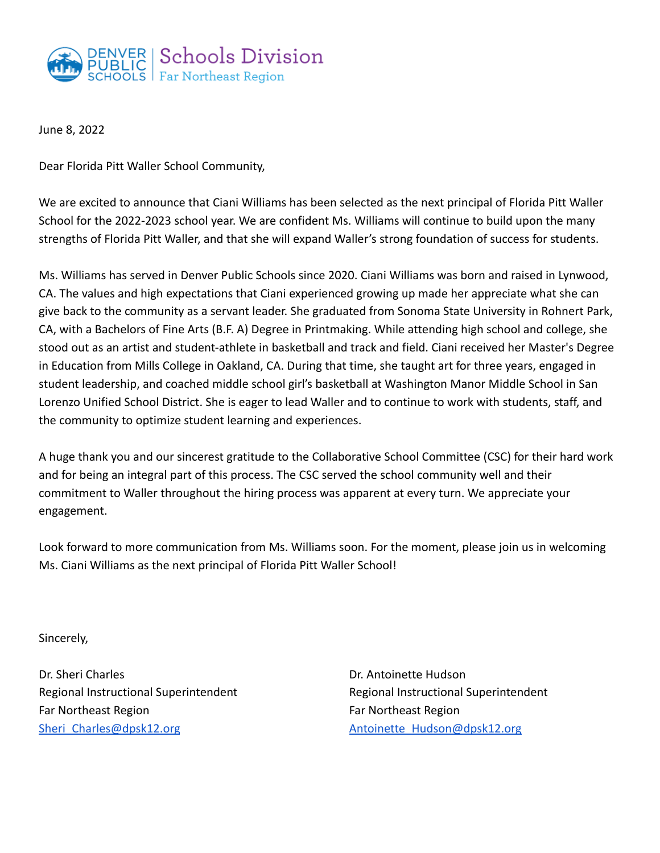

June 8, 2022

Dear Florida Pitt Waller School Community,

We are excited to announce that Ciani Williams has been selected as the next principal of Florida Pitt Waller School for the 2022-2023 school year. We are confident Ms. Williams will continue to build upon the many strengths of Florida Pitt Waller, and that she will expand Waller's strong foundation of success for students.

Ms. Williams has served in Denver Public Schools since 2020. Ciani Williams was born and raised in Lynwood, CA. The values and high expectations that Ciani experienced growing up made her appreciate what she can give back to the community as a servant leader. She graduated from Sonoma State University in Rohnert Park, CA, with a Bachelors of Fine Arts (B.F. A) Degree in Printmaking. While attending high school and college, she stood out as an artist and student-athlete in basketball and track and field. Ciani received her Master's Degree in Education from Mills College in Oakland, CA. During that time, she taught art for three years, engaged in student leadership, and coached middle school girl's basketball at Washington Manor Middle School in San Lorenzo Unified School District. She is eager to lead Waller and to continue to work with students, staff, and the community to optimize student learning and experiences.

A huge thank you and our sincerest gratitude to the Collaborative School Committee (CSC) for their hard work and for being an integral part of this process. The CSC served the school community well and their commitment to Waller throughout the hiring process was apparent at every turn. We appreciate your engagement.

Look forward to more communication from Ms. Williams soon. For the moment, please join us in welcoming Ms. Ciani Williams as the next principal of Florida Pitt Waller School!

Sincerely,

Dr. Sheri Charles Regional Instructional Superintendent Far Northeast Region Sheri Charles@dpsk12.org

Dr. Antoinette Hudson Regional Instructional Superintendent Far Northeast Region [Antoinette\\_Hudson@dpsk12.org](mailto:Antoinette_Hudson@dpsk12.org)